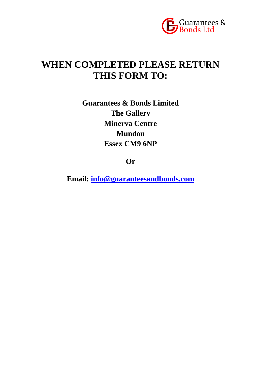

# **WHEN COMPLETED PLEASE RETURN THIS FORM TO:**

**Guarantees & Bonds Limited The Gallery Minerva Centre Mundon Essex CM9 6NP**

**Or**

**Email: [info@guaranteesandbonds.com](mailto:info@guaranteesandbonds.com)**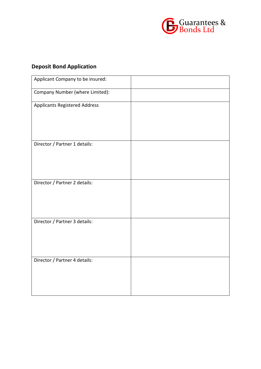

## **Deposit Bond Application**

| Applicant Company to be insured:     |  |
|--------------------------------------|--|
| Company Number (where Limited):      |  |
| <b>Applicants Registered Address</b> |  |
|                                      |  |
| Director / Partner 1 details:        |  |
| Director / Partner 2 details:        |  |
| Director / Partner 3 details:        |  |
| Director / Partner 4 details:        |  |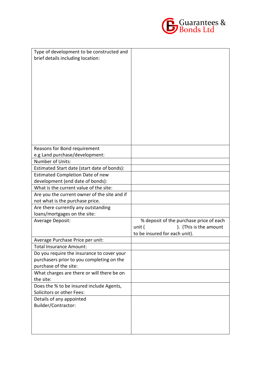

| Type of development to be constructed and    |                                         |
|----------------------------------------------|-----------------------------------------|
| brief details including location:            |                                         |
|                                              |                                         |
|                                              |                                         |
|                                              |                                         |
|                                              |                                         |
|                                              |                                         |
|                                              |                                         |
|                                              |                                         |
|                                              |                                         |
|                                              |                                         |
|                                              |                                         |
|                                              |                                         |
|                                              |                                         |
|                                              |                                         |
| Reasons for Bond requirement                 |                                         |
| e.g Land purchase/development:               |                                         |
| Number of Units:                             |                                         |
| Estimated Start date (start date of bonds):  |                                         |
| <b>Estimated Completion Date of new</b>      |                                         |
| development (end date of bonds):             |                                         |
| What is the current value of the site:       |                                         |
| Are you the current owner of the site and if |                                         |
| not what is the purchase price.              |                                         |
| Are there currently any outstanding          |                                         |
| loans/mortgages on the site:                 |                                         |
| Average Deposit:                             | % deposit of the purchase price of each |
|                                              | ). (This is the amount<br>unit (        |
|                                              | to be insured for each unit).           |
| Average Purchase Price per unit:             |                                         |
| <b>Total Insurance Amount:</b>               |                                         |
| Do you require the insurance to cover your   |                                         |
| purchasers prior to you completing on the    |                                         |
| purchase of the site:                        |                                         |
| What charges are there or will there be on   |                                         |
| the site:                                    |                                         |
| Does the % to be insured include Agents,     |                                         |
| Solicitors or other Fees:                    |                                         |
| Details of any appointed                     |                                         |
| Builder/Contractor:                          |                                         |
|                                              |                                         |
|                                              |                                         |
|                                              |                                         |
|                                              |                                         |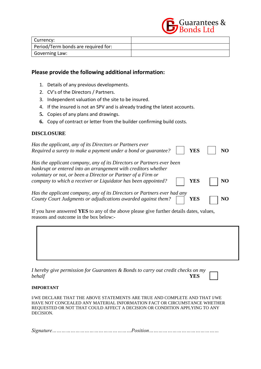

| Currency:                           |  |
|-------------------------------------|--|
| Period/Term bonds are required for: |  |
| Governing Law:                      |  |

## **Please provide the following additional information:**

- 1. Details of any previous developments.
- 2. CV's of the Directors / Partners.
- 3. Independent valuation of the site to be insured.
- 4. If the insured is not an SPV and is already trading the latest accounts.
- **5.** Copies of any plans and drawings.
- **6.** Copy of contract or letter from the builder confirming build costs.

### **DISCLOSURE**

| Has the applicant, any of its Directors or Partners ever<br>Required a surety to make a payment under a bond or guarantee?<br><b>YES</b>                                                                                                                                               | N <sub>O</sub> |
|----------------------------------------------------------------------------------------------------------------------------------------------------------------------------------------------------------------------------------------------------------------------------------------|----------------|
| Has the applicant company, any of its Directors or Partners ever been<br>bankrupt or entered into an arrangement with creditors whether<br>voluntary or not, or been a Director or Partner of a Firm or<br>company to which a receiver or Liquidator has been appointed?<br><b>YES</b> | N <sub>O</sub> |
| Has the applicant company, any of its Directors or Partners ever had any<br>County Court Judgments or adjudications awarded against them?<br>YES                                                                                                                                       |                |

If you have answered **YES** to any of the above please give further details dates, values, reasons and outcome in the box below:-

| I hereby give permission for Guarantees & Bonds to carry out credit checks on my |            |
|----------------------------------------------------------------------------------|------------|
| behalf                                                                           | <b>YES</b> |

#### **IMPORTANT**

I/WE DECLARE THAT THE ABOVE STATEMENTS ARE TRUE AND COMPLETE AND THAT I/WE HAVE NOT CONCEALED ANY MATERIAL INFORMATION FACT OR CIRCUMSTANCE WHETHER REQUESTED OR NOT THAT COULD AFFECT A DECISION OR CONDITION APPLYING TO ANY DECISION.

*Signature……………………………………………Position………………………………………*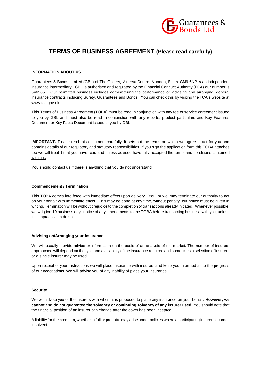

## **TERMS OF BUSINESS AGREEMENT (Please read carefully)**

#### **INFORMATION ABOUT US**

Guarantees & Bonds Limited (GBL) of The Gallery, Minerva Centre, Mundon, Essex CM9 6NP is an independent insurance intermediary. GBL is authorised and regulated by the Financial Conduct Authority (FCA) our number is 546285. . Our permitted business includes administering the performance of, advising and arranging, general insurance contracts including Surety, Guarantees and Bonds. You can check this by visiting the FCA's website at www.fca.gov.uk.

This Terms of Business Agreement (TOBA) must be read in conjunction with any fee or service agreement issued to you by GBL and must also be read in conjunction with any reports, product particulars and Key Features Document or Key Facts Document issued to you by GBL

**IMPORTANT.** Please read this document carefully. It sets out the terms on which we agree to act for you and contains details of our regulatory and statutory responsibilities. If you sign the application form this TOBA attaches too we will treat it that you have read and unless advised have fully accepted the terms and conditions contained within it.

You should contact us if there is anything that you do not understand.

#### **Commencement / Termination**

This TOBA comes into force with immediate effect upon delivery. You, or we, may terminate our authority to act on your behalf with immediate effect. This may be done at any time, without penalty, but notice must be given in writing. Termination will be without prejudice to the completion of transactions already initiated. Whenever possible, we will give 10 business days notice of any amendments to the TOBA before transacting business with you, unless it is impractical to do so.

#### **Advising on/Arranging your insurance**

We will usually provide advice or information on the basis of an analysis of the market. The number of insurers approached will depend on the type and availability of the insurance required and sometimes a selection of insurers or a single insurer may be used.

Upon receipt of your instructions we will place insurance with insurers and keep you informed as to the progress of our negotiations. We will advise you of any inability of place your insurance.

#### **Security**

We will advise you of the insurers with whom it is proposed to place any insurance on your behalf. **However, we cannot and do not guarantee the solvency or continuing solvency of any insurer used**. You should note that the financial position of an insurer can change after the cover has been incepted.

A liability for the premium, whether in full or pro rata, may arise under policies where a participating insurer becomes insolvent.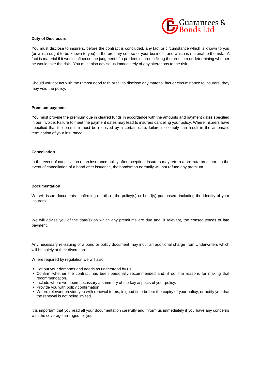

#### **Duty of Disclosure**

You must disclose to insurers, before the contract is concluded, any fact or circumstance which is known to you (or which ought to be known to you) in the ordinary course of your business and which is material to the risk. A fact is material if it would influence the judgment of a prudent insurer in fixing the premium or determining whether he would take the risk. You must also advise us immediately of any alterations to the risk.

Should you not act with the utmost good faith or fail to disclose any material fact or circumstance to insurers, they may void the policy.

#### **Premium payment**

You must provide the premium due in cleared funds in accordance with the amounts and payment dates specified in our invoice. Failure to meet the payment dates may lead to insurers canceling your policy. Where insurers have specified that the premium must be received by a certain date, failure to comply can result in the automatic termination of your insurance.

#### **Cancellation**

In the event of cancellation of an insurance policy after inception, insurers may return a pro-rata premium. In the event of cancellation of a bond after issuance, the bondsman normally will not refund any premium.

#### **Documentation**

We will issue documents confirming details of the policy(s) or bond(s) purchased, including the identity of your insurers.

We will advise you of the date(s) on which any premiums are due and, if relevant, the consequences of late payment.

Any necessary re-issuing of a bond or policy document may incur an additional charge from Underwriters which will be solely at their discretion.

Where required by regulation we will also :

- Set out your demands and needs as understood by us.
- Confirm whether the contract has been personally recommended and, if so, the reasons for making that recommendation.
- **Include where we deem necessary a summary of the key aspects of your policy.**
- **Provide you with policy confirmation.**
- Where relevant provide you with renewal terms, in good time before the expiry of your policy, or notify you that the renewal is not being invited.

It is important that you read all your documentation carefully and inform us immediately if you have any concerns with the coverage arranged for you.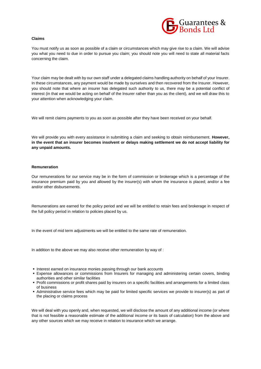

#### **Claims**

You must notify us as soon as possible of a claim or circumstances which may give rise to a claim. We will advise you what you need to due in order to pursue you claim; you should note you will need to state all material facts concerning the claim.

Your claim may be dealt with by our own staff under a delegated claims handling authority on behalf of your Insurer. In these circumstances, any payment would be made by ourselves and then recovered from the Insurer. However, you should note that where an insurer has delegated such authority to us, there may be a potential conflict of interest (in that we would be acting on behalf of the Insurer rather than you as the client), and we will draw this to your attention when acknowledging your claim.

We will remit claims payments to you as soon as possible after they have been received on your behalf.

We will provide you with every assistance in submitting a claim and seeking to obtain reimbursement. **However, in the event that an insurer becomes insolvent or delays making settlement we do not accept liability for any unpaid amounts.**

#### **Remuneration**

Our remunerations for our service may be in the form of commission or brokerage which is a percentage of the insurance premium paid by you and allowed by the insurer(s) with whom the insurance is placed; and/or a fee and/or other disbursements.

Remunerations are earned for the policy period and we will be entitled to retain fees and brokerage in respect of the full policy period in relation to policies placed by us.

In the event of mid term adjustments we will be entitled to the same rate of remuneration.

In addition to the above we may also receive other remuneration by way of :

- **Interest earned on insurance monies passing through our bank accounts**
- Expense allowances or commissions from Insurers for managing and administering certain covers, binding authorities and other similar facilities
- Profit commissions or profit shares paid by insurers on a specific facilities and arrangements for a limited class of business
- Administrative service fees which may be paid for limited specific services we provide to insurer(s) as part of the placing or claims process

We will deal with you openly and, when requested, we will disclose the amount of any additional income (or where that is not feasible a reasonable estimate of the additional income or its basis of calculation) from the above and any other sources which we may receive in relation to insurance which we arrange.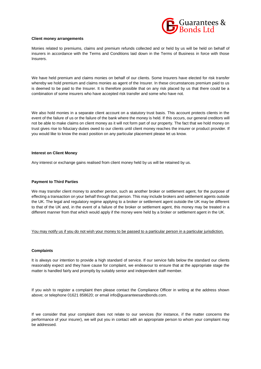

#### **Client money arrangements**

Monies related to premiums, claims and premium refunds collected and or held by us will be held on behalf of insurers in accordance with the Terms and Conditions laid down in the Terms of Business in force with those **Insurers** 

We have held premium and claims monies on behalf of our clients. Some Insurers have elected for risk transfer whereby we hold premium and claims monies as agent of the Insurer. In these circumstances premium paid to us is deemed to be paid to the Insurer. It is therefore possible that on any risk placed by us that there could be a combination of some insurers who have accepted risk transfer and some who have not.

We also hold monies in a separate client account on a statutory trust basis. This account protects clients in the event of the failure of us or the failure of the bank where the money is held. If this occurs, our general creditors will not be able to make claims on client money as it will not form part of our property. The fact that we hold money on trust gives rise to fiduciary duties owed to our clients until client money reaches the insurer or product provider. If you would like to know the exact position on any particular placement please let us know.

#### **Interest on Client Money**

Any interest or exchange gains realised from client money held by us will be retained by us.

#### **Payment to Third Parties**

We may transfer client money to another person, such as another broker or settlement agent, for the purpose of effecting a transaction on your behalf through that person. This may include brokers and settlement agents outside the UK. The legal and regulatory regime applying to a broker or settlement agent outside the UK may be different to that of the UK and, in the event of a failure of the broker or settlement agent, this money may be treated in a different manner from that which would apply if the money were held by a broker or settlement agent in the UK.

You may notify us if you do not wish your money to be passed to a particular person in a particular jurisdiction.

#### **Complaints**

It is always our intention to provide a high standard of service. If our service falls below the standard our clients reasonably expect and they have cause for complaint, we endeavour to ensure that at the appropriate stage the matter is handled fairly and promptly by suitably senior and independent staff member.

If you wish to register a complaint then please contact the Compliance Officer in writing at the address shown above; or telephone 01621 858620; or email info@guaranteesandbonds.com.

If we consider that your complaint does not relate to our services (for instance, if the matter concerns the performance of your insurer), we will put you in contact with an appropriate person to whom your complaint may be addressed.